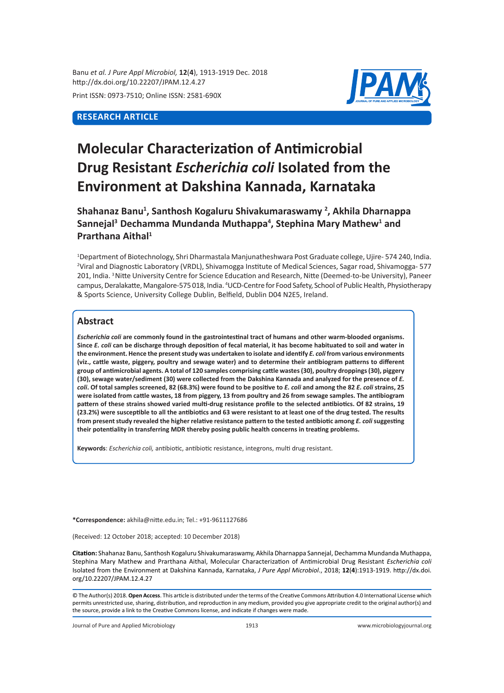Banu *et al. J Pure Appl Microbiol,* **12**(**4**), 1913-1919 Dec. 2018 http://dx.doi.org/10.22207/JPAM.12.4.27

Print ISSN: 0973-7510; Online ISSN: 2581-690X

# **RESEARCH ARTICLE**



# **Molecular Characterization of Antimicrobial Drug Resistant** *Escherichia coli* **Isolated from the Environment at Dakshina Kannada, Karnataka**

**Shahanaz Banu1 , Santhosh Kogaluru Shivakumaraswamy <sup>2</sup> , Akhila Dharnappa Sannejal3 Dechamma Mundanda Muthappa<sup>4</sup> , Stephina Mary Mathew<sup>1</sup> and Prarthana Aithal1**

1 Department of Biotechnology, Shri Dharmastala Manjunatheshwara Post Graduate college, Ujire- 574 240, India. 2 Viral and Diagnostic Laboratory (VRDL), Shivamogga Institute of Medical Sciences, Sagar road, Shivamogga- 577 201, India. <sup>3</sup> Nitte University Centre for Science Education and Research, Nitte (Deemed-to-be University), Paneer campus, Deralakatte, Mangalore-575 018, India. 4 UCD-Centre for Food Safety, School of Public Health, Physiotherapy & Sports Science, University College Dublin, Belfield, Dublin D04 N2E5, Ireland.

## **Abstract**

*Escherichia coli* **are commonly found in the gastrointestinal tract of humans and other warm-blooded organisms. Since** *E. coli* **can be discharge through deposition of fecal material, it has become habituated to soil and water in the environment. Hence the present study was undertaken to isolate and identify** *E. coli* **from various environments (viz., cattle waste, piggery, poultry and sewage water) and to determine their antibiogram patterns to different group of antimicrobial agents. A total of 120 samples comprising cattle wastes (30), poultry droppings (30), piggery (30), sewage water/sediment (30) were collected from the Dakshina Kannada and analyzed for the presence of** *E. coli***. Of total samples screened, 82 (68.3%) were found to be positive to** *E. coli* **and among the 82** *E. coli* **strains, 25 were isolated from cattle wastes, 18 from piggery, 13 from poultry and 26 from sewage samples. The antibiogram pattern of these strains showed varied multi-drug resistance profile to the selected antibiotics. Of 82 strains, 19 (23.2%) were susceptible to all the antibiotics and 63 were resistant to at least one of the drug tested. The results from present study revealed the higher relative resistance pattern to the tested antibiotic among** *E. coli* **suggesting their potentiality in transferring MDR thereby posing public health concerns in treating problems.**

**Keywords**: *Escherichia coli,* antibiotic, antibiotic resistance, integrons, multi drug resistant.

**\*Correspondence:** akhila@nitte.edu.in; Tel.: +91-9611127686

(Received: 12 October 2018; accepted: 10 December 2018)

**Citation:** Shahanaz Banu, Santhosh Kogaluru Shivakumaraswamy, Akhila Dharnappa Sannejal, Dechamma Mundanda Muthappa, Stephina Mary Mathew and Prarthana Aithal, Molecular Characterization of Antimicrobial Drug Resistant *Escherichia coli*  Isolated from the Environment at Dakshina Kannada, Karnataka, *J Pure Appl Microbiol*., 2018; **12**(**4**):1913-1919. http://dx.doi. org/10.22207/JPAM.12.4.27

© The Author(s) 2018. **Open Access**. This article is distributed under the terms of the Creative Commons Attribution 4.0 International License which permits unrestricted use, sharing, distribution, and reproduction in any medium, provided you give appropriate credit to the original author(s) and the source, provide a link to the Creative Commons license, and indicate if changes were made.

Journal of Pure and Applied Microbiology 1913 www.microbiologyjournal.org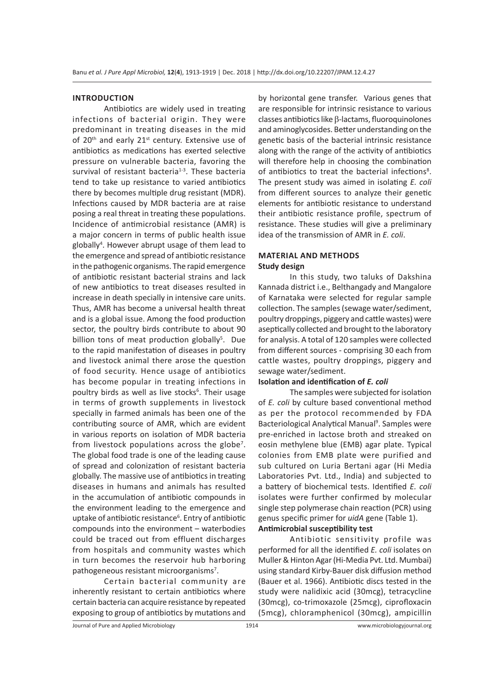#### **INTRODUCTION**

Antibiotics are widely used in treating infections of bacterial origin. They were predominant in treating diseases in the mid of 20<sup>th</sup> and early 21<sup>st</sup> century. Extensive use of antibiotics as medications has exerted selective pressure on vulnerable bacteria, favoring the survival of resistant bacteria<sup>1-3</sup>. These bacteria tend to take up resistance to varied antibiotics there by becomes multiple drug resistant (MDR). Infections caused by MDR bacteria are at raise posing a real threat in treating these populations. Incidence of antimicrobial resistance (AMR) is a major concern in terms of public health issue globally<sup>4</sup>. However abrupt usage of them lead to the emergence and spread of antibiotic resistance in the pathogenic organisms. The rapid emergence of antibiotic resistant bacterial strains and lack of new antibiotics to treat diseases resulted in increase in death specially in intensive care units. Thus, AMR has become a universal health threat and is a global issue. Among the food production sector, the poultry birds contribute to about 90 billion tons of meat production globally<sup>5</sup>. Due to the rapid manifestation of diseases in poultry and livestock animal there arose the question of food security. Hence usage of antibiotics has become popular in treating infections in poultry birds as well as live stocks<sup>6</sup>. Their usage in terms of growth supplements in livestock specially in farmed animals has been one of the contributing source of AMR, which are evident in various reports on isolation of MDR bacteria from livestock populations across the globe<sup>7</sup>. The global food trade is one of the leading cause of spread and colonization of resistant bacteria globally. The massive use of antibiotics in treating diseases in humans and animals has resulted in the accumulation of antibiotic compounds in the environment leading to the emergence and uptake of antibiotic resistance<sup>6</sup>. Entry of antibiotic compounds into the environment – waterbodies could be traced out from effluent discharges from hospitals and community wastes which in turn becomes the reservoir hub harboring pathogeneous resistant microorganisms<sup>7</sup>.

Certain bacterial community are inherently resistant to certain antibiotics where certain bacteria can acquire resistance by repeated exposing to group of antibiotics by mutations and by horizontal gene transfer. Various genes that are responsible for intrinsic resistance to various classes antibiotics like β-lactams, fluoroquinolones and aminoglycosides. Better understanding on the genetic basis of the bacterial intrinsic resistance along with the range of the activity of antibiotics will therefore help in choosing the combination of antibiotics to treat the bacterial infections<sup>8</sup>. The present study was aimed in isolating *E. coli* from different sources to analyze their genetic elements for antibiotic resistance to understand their antibiotic resistance profile, spectrum of resistance. These studies will give a preliminary idea of the transmission of AMR in *E. coli*.

## **MATERIAL AND METHODS Study design**

In this study, two taluks of Dakshina Kannada district i.e., Belthangady and Mangalore of Karnataka were selected for regular sample collection. The samples (sewage water/sediment, poultry droppings, piggery and cattle wastes) were aseptically collected and brought to the laboratory for analysis. A total of 120 samples were collected from different sources - comprising 30 each from cattle wastes, poultry droppings, piggery and sewage water/sediment.

## **Isolation and identification of** *E. coli*

The samples were subjected for isolation of *E. coli* by culture based conventional method as per the protocol recommended by FDA Bacteriological Analytical Manual<sup>9</sup>. Samples were pre-enriched in lactose broth and streaked on eosin methylene blue (EMB) agar plate. Typical colonies from EMB plate were purified and sub cultured on Luria Bertani agar (Hi Media Laboratories Pvt. Ltd., India) and subjected to a battery of biochemical tests. Identified *E. coli* isolates were further confirmed by molecular single step polymerase chain reaction (PCR) using genus specific primer for *uidA* gene (Table 1). **Antimicrobial susceptibility test**

Antibiotic sensitivity profile was performed for all the identified *E. coli* isolates on Muller & Hinton Agar (Hi-Media Pvt. Ltd. Mumbai) using standard Kirby-Bauer disk diffusion method (Bauer et al. 1966). Antibiotic discs tested in the study were nalidixic acid (30mcg), tetracycline (30mcg), co-trimoxazole (25mcg), ciprofloxacin (5mcg), chloramphenicol (30mcg), ampicillin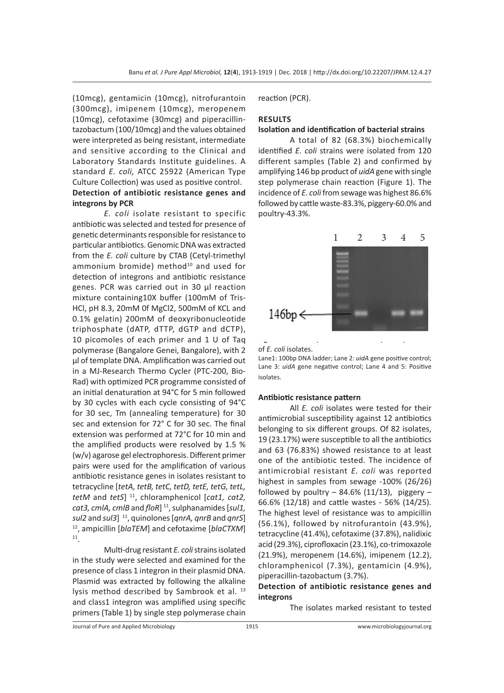(10mcg), gentamicin (10mcg), nitrofurantoin (300mcg), imipenem (10mcg), meropenem (10mcg), cefotaxime (30mcg) and piperacillintazobactum (100/10mcg) and the values obtained were interpreted as being resistant, intermediate and sensitive according to the Clinical and Laboratory Standards Institute guidelines. A standard *E. coli,* ATCC 25922 (American Type Culture Collection) was used as positive control. **Detection of antibiotic resistance genes and integrons by PCR**

*E. coli* isolate resistant to specific antibiotic was selected and tested for presence of genetic determinants responsible for resistance to particular antibiotics. Genomic DNA was extracted from the *E. coli* culture by CTAB (Cetyl-trimethyl ammonium bromide) method $10$  and used for detection of integrons and antibiotic resistance genes. PCR was carried out in 30 µl reaction mixture containing10X buffer (100mM of Tris-HCl, pH 8.3, 20mM 0f MgCl2, 500mM of KCL and 0.1% gelatin) 200mM of deoxyribonucleotide triphosphate (dATP, dTTP, dGTP and dCTP), 10 picomoles of each primer and 1 U of Taq polymerase (Bangalore Genei, Bangalore), with 2 µl of template DNA. Amplification was carried out in a MJ-Research Thermo Cycler (PTC-200, Bio-Rad) with optimized PCR programme consisted of an initial denaturation at 94°C for 5 min followed by 30 cycles with each cycle consisting of 94°C for 30 sec, Tm (annealing temperature) for 30 sec and extension for 72° C for 30 sec. The final extension was performed at 72°C for 10 min and the amplified products were resolved by 1.5 % (w/v) agarose gel electrophoresis. Different primer pairs were used for the amplification of various antibiotic resistance genes in isolates resistant to tetracycline [*tetA, tetB, tetC, tetD, tetE, tetG, tetL, tetM* and *tetS*] 11, chloramphenicol [*cat1, cat2, cat3, cmlA, cmlB* and *floR*] 11, sulphanamides [*sul1, sul2* and *sul3*] 11, quinolones [*qnrA, qnrB* and *qnrS*] 12, ampicillin [*blaTEM*] and cefotaxime [*blaCTXM*] 11.

Multi-drug resistant *E. coli* strains isolated in the study were selected and examined for the presence of class 1 integron in their plasmid DNA. Plasmid was extracted by following the alkaline lysis method described by Sambrook et al. 13 and class1 integron was amplified using specific primers (Table 1) by single step polymerase chain reaction (PCR).

## **RESULTS**

### **Isolation and identification of bacterial strains**

A total of 82 (68.3%) biochemically identified *E. coli* strains were isolated from 120 different samples (Table 2) and confirmed by amplifying 146 bp product of *uidA* gene with single step polymerase chain reaction (Figure 1). The incidence of *E. coli* from sewage was highest 86.6% followed by cattle waste-83.3%, piggery-60.0% and poultry-43.3%.



#### of *E. coli* isolates.

Lane1: 100bp DNA ladder; Lane 2: *uidA* gene positive control; Lane 3: *uidA* gene negative control; Lane 4 and 5: Positive isolates.

#### **Antibiotic resistance pattern**

All *E. coli* isolates were tested for their antimicrobial susceptibility against 12 antibiotics belonging to six different groups. Of 82 isolates, 19 (23.17%) were susceptible to all the antibiotics and 63 (76.83%) showed resistance to at least one of the antibiotic tested. The incidence of antimicrobial resistant *E. coli* was reported highest in samples from sewage -100% (26/26) followed by poultry  $-$  84.6% (11/13), piggery  $-$ 66.6% (12/18) and cattle wastes - 56% (14/25). The highest level of resistance was to ampicillin (56.1%), followed by nitrofurantoin (43.9%), tetracycline (41.4%), cefotaxime (37.8%), nalidixic acid (29.3%), ciprofloxacin (23.1%), co-trimoxazole (21.9%), meropenem (14.6%), imipenem (12.2), chloramphenicol (7.3%), gentamicin (4.9%), piperacillin-tazobactum (3.7%).

## **Detection of antibiotic resistance genes and integrons**

The isolates marked resistant to tested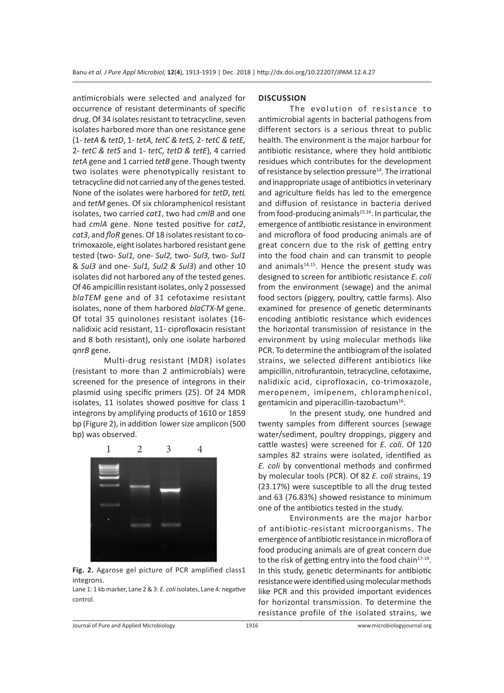antimicrobials were selected and analyzed for occurrence of resistant determinants of specific drug. Of 34 isolates resistant to tetracycline, seven isolates harbored more than one resistance gene (1- *tetA* & *tetD*, 1- *tetA, tetC & tetS,* 2- *tetC & tetE,*  2- *tetC & tetS* and 1- *tetC, tetD & tetE*), 4 carried *tetA* gene and 1 carried *tetB* gene. Though twenty two isolates were phenotypically resistant to tetracycline did not carried any of the genes tested. None of the isolates were harbored for *tetD*, *tetL* and *tetM* genes. Of six chloramphenicol resistant isolates, two carried *cat1*, two had *cmlB* and one had *cmlA* gene. None tested positive for *cat2*, *cat3*, and *floR* genes. Of 18 isolates resistant to cotrimoxazole, eight isolates harbored resistant gene tested (two- *Sul1,* one- *Sul2,* two- *Sul3,* two- *Sul1* & *Sul3* and one- *Sul1, Sul2 & Sul3*) and other 10 isolates did not harbored any of the tested genes. Of 46 ampicillin resistant isolates, only 2 possessed *blaTEM* gene and of 31 cefotaxime resistant isolates, none of them harbored *blaCTX-M* gene. Of total 35 quinolones resistant isolates (16 nalidixic acid resistant, 11- ciprofloxacin resistant and 8 both resistant), only one isolate harbored *qnrB* gene.

Multi-drug resistant (MDR) isolates (resistant to more than 2 antimicrobials) were screened for the presence of integrons in their plasmid using specific primers (25). Of 24 MDR isolates, 11 isolates showed positive for class 1 integrons by amplifying products of 1610 or 1859 bp (Figure 2), in addition lower size amplicon (500 bp) was observed.



**Fig. 2.** Agarose gel picture of PCR amplified class1 integrons.

Lane 1: 1 kb marker, Lane 2 & 3: *E. coli* isolates, Lane 4: negative control.

## **DISCUSSION**

The evolution of resistance to antimicrobial agents in bacterial pathogens from different sectors is a serious threat to public health. The environment is the major harbour for antibiotic resistance, where they hold antibiotic residues which contributes for the development of resistance by selection pressure<sup>14</sup>. The irrational and inappropriate usage of antibiotics in veterinary and agriculture fields has led to the emergence and diffusion of resistance in bacteria derived from food-producing animals $15,16$ . In particular, the emergence of antibiotic resistance in environment and microflora of food producing animals are of great concern due to the risk of getting entry into the food chain and can transmit to people and animals $14,15$ . Hence the present study was designed to screen for antibiotic resistance *E. coli* from the environment (sewage) and the animal food sectors (piggery, poultry, cattle farms). Also examined for presence of genetic determinants encoding antibiotic resistance which evidences the horizontal transmission of resistance in the environment by using molecular methods like PCR. To determine the antibiogram of the isolated strains, we selected different antibiotics like ampicillin, nitrofurantoin, tetracycline, cefotaxime, nalidixic acid, ciprofloxacin, co-trimoxazole, meropenem, imipenem, chloramphenicol, gentamicin and piperacillin-tazobactum<sup>16</sup>.

In the present study, one hundred and twenty samples from different sources (sewage water/sediment, poultry droppings, piggery and cattle wastes) were screened for *E. coli*. Of 120 samples 82 strains were isolated, identified as *E. coli* by conventional methods and confirmed by molecular tools (PCR). Of 82 *E. coli* strains, 19 (23.17%) were susceptible to all the drug tested and 63 (76.83%) showed resistance to minimum one of the antibiotics tested in the study.

Environments are the major harbor of antibiotic-resistant microorganisms. The emergence of antibiotic resistance in microflora of food producing animals are of great concern due to the risk of getting entry into the food chain<sup>17-19</sup>. In this study, genetic determinants for antibiotic resistance were identified using molecular methods like PCR and this provided important evidences for horizontal transmission. To determine the resistance profile of the isolated strains, we

Journal of Pure and Applied Microbiology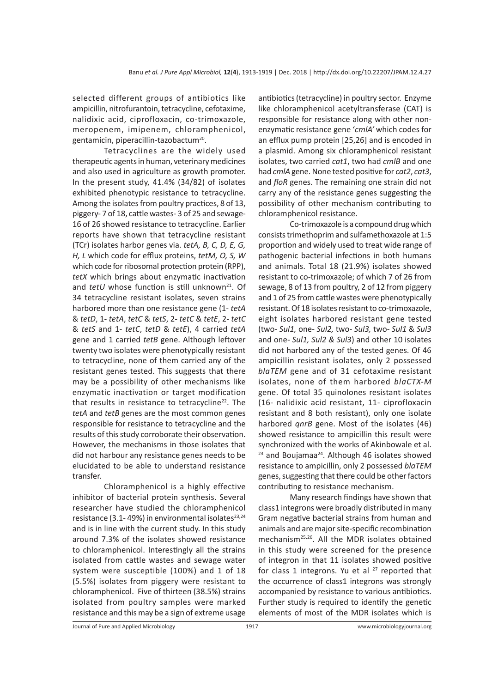selected different groups of antibiotics like ampicillin, nitrofurantoin, tetracycline, cefotaxime, nalidixic acid, ciprofloxacin, co-trimoxazole, meropenem, imipenem, chloramphenicol, gentamicin, piperacillin-tazobactum<sup>20</sup>.

Tetracyclines are the widely used therapeutic agents in human, veterinary medicines and also used in agriculture as growth promoter. In the present study, 41.4% (34/82) of isolates exhibited phenotypic resistance to tetracycline. Among the isolates from poultry practices, 8 of 13, piggery- 7 of 18, cattle wastes- 3 of 25 and sewage-16 of 26 showed resistance to tetracycline. Earlier reports have shown that tetracycline resistant (TCr) isolates harbor genes via. *tetA, B, C, D, E, G, H, L* which code for efflux proteins, *tetM, O, S, W* which code for ribosomal protection protein (RPP), *tetX* which brings about enzymatic inactivation and *tetU* whose function is still unknown<sup>21</sup>. Of 34 tetracycline resistant isolates, seven strains harbored more than one resistance gene (1- *tetA* & *tetD*, 1- *tetA*, *tetC* & *tetS*, 2- *tetC* & *tetE*, 2- *tetC* & *tetS* and 1- *tetC*, *tetD* & *tetE*), 4 carried *tetA* gene and 1 carried *tetB* gene. Although leftover twenty two isolates were phenotypically resistant to tetracycline, none of them carried any of the resistant genes tested. This suggests that there may be a possibility of other mechanisms like enzymatic inactivation or target modification that results in resistance to tetracycline<sup>22</sup>. The *tetA* and *tetB* genes are the most common genes responsible for resistance to tetracycline and the results of this study corroborate their observation. However, the mechanisms in those isolates that did not harbour any resistance genes needs to be elucidated to be able to understand resistance transfer.

Chloramphenicol is a highly effective inhibitor of bacterial protein synthesis. Several researcher have studied the chloramphenicol resistance (3.1-49%) in environmental isolates $23,24$ and is in line with the current study. In this study around 7.3% of the isolates showed resistance to chloramphenicol. Interestingly all the strains isolated from cattle wastes and sewage water system were susceptible (100%) and 1 of 18 (5.5%) isolates from piggery were resistant to chloramphenicol. Five of thirteen (38.5%) strains isolated from poultry samples were marked resistance and this may be a sign of extreme usage antibiotics (tetracycline) in poultry sector. Enzyme like chloramphenicol acetyltransferase (CAT) is responsible for resistance along with other nonenzymatic resistance gene '*cmlA'* which codes for an efflux pump protein [25,26] and is encoded in a plasmid. Among six chloramphenicol resistant isolates, two carried *cat1*, two had *cmlB* and one had *cmlA* gene. None tested positive for *cat2*, *cat3*, and *floR* genes. The remaining one strain did not carry any of the resistance genes suggesting the possibility of other mechanism contributing to chloramphenicol resistance.

Co-trimoxazole is a compound drug which consists trimethoprim and sulfamethoxazole at 1:5 proportion and widely used to treat wide range of pathogenic bacterial infections in both humans and animals. Total 18 (21.9%) isolates showed resistant to co-trimoxazole; of which 7 of 26 from sewage, 8 of 13 from poultry, 2 of 12 from piggery and 1 of 25 from cattle wastes were phenotypically resistant. Of 18 isolates resistant to co-trimoxazole, eight isolates harbored resistant gene tested (two- *Sul1,* one- *Sul2,* two- *Sul3,* two- *Sul1* & *Sul3* and one- *Sul1, Sul2 & Sul3*) and other 10 isolates did not harbored any of the tested genes. Of 46 ampicillin resistant isolates, only 2 possessed *blaTEM* gene and of 31 cefotaxime resistant isolates, none of them harbored *blaCTX-M*  gene. Of total 35 quinolones resistant isolates (16- nalidixic acid resistant, 11- ciprofloxacin resistant and 8 both resistant), only one isolate harbored *qnrB* gene. Most of the isolates (46) showed resistance to ampicillin this result were synchronized with the works of Akinbowale et al.  $23$  and Boujamaa<sup>24</sup>. Although 46 isolates showed resistance to ampicillin, only 2 possessed *blaTEM* genes, suggesting that there could be other factors contributing to resistance mechanism.

Many research findings have shown that class1 integrons were broadly distributed in many Gram negative bacterial strains from human and animals and are major site-specific recombination mechanism25,26. All the MDR isolates obtained in this study were screened for the presence of integron in that 11 isolates showed positive for class 1 integrons. Yu et al  $27$  reported that the occurrence of class1 integrons was strongly accompanied by resistance to various antibiotics. Further study is required to identify the genetic elements of most of the MDR isolates which is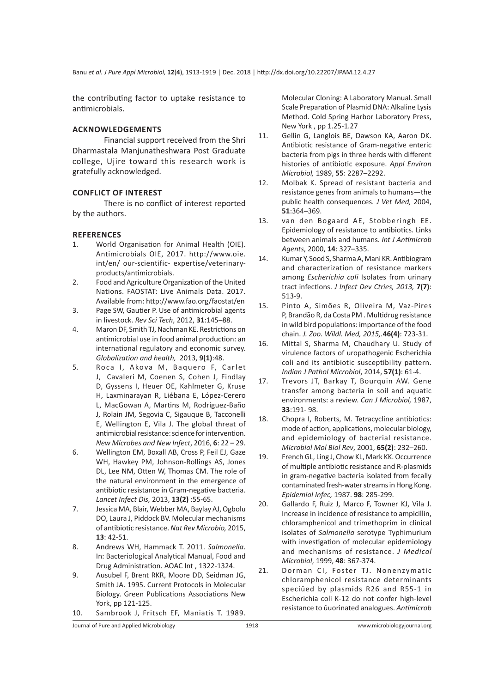the contributing factor to uptake resistance to antimicrobials.

## **ACKNOWLEDGEMENTS**

Financial support received from the Shri Dharmastala Manjunatheshwara Post Graduate college, Ujire toward this research work is gratefully acknowledged.

## **CONFLICT OF INTEREST**

There is no conflict of interest reported by the authors.

## **REFERENCES**

- 1. World Organisation for Animal Health (OIE). Antimicrobials OIE, 2017. http://www.oie. int/en/ our-scientific- expertise/veterinaryproducts/antimicrobials.
- 2. Food and Agriculture Organization of the United Nations. FAOSTAT: Live Animals Data. 2017. Available from: http://www.fao.org/faostat/en
- 3. Page SW, Gautier P. Use of antimicrobial agents in livestock. *Rev Sci Tech*, 2012, **31**:145–88.
- 4. Maron DF, Smith TJ, Nachman KE. Restrictions on antimicrobial use in food animal production: an international regulatory and economic survey. *Globalization and health,* 2013, **9(1)**:48.
- 5. Roca I, Akova M, Baguero F, Carlet J, Cavaleri M, Coenen S, Cohen J, Findlay D, Gyssens I, Heuer OE, Kahlmeter G, Kruse H, Laxminarayan R, Liébana E, López-Cerero L, MacGowan A, Martins M, Rodríguez-Baño J, Rolain JM, Segovia C, Sigauque B, Tacconelli E, Wellington E, Vila J. The global threat of antimicrobial resistance: science for intervention. *New Microbes and New Infect*, 2016, **6**: 22 – 29.
- 6. Wellington EM, Boxall AB, Cross P, Feil EJ, Gaze WH, Hawkey PM, Johnson-Rollings AS, Jones DL, Lee NM, Otten W, Thomas CM. The role of the natural environment in the emergence of antibiotic resistance in Gram-negative bacteria. *Lancet Infect Dis,* 2013, **13(2)** :55-65.
- 7. Jessica MA, Blair, Webber MA, Baylay AJ, Ogbolu DO, Laura J, Piddock BV. Molecular mechanisms of antibiotic resistance. *Nat Rev Microbio,* 2015, **13**: 42-51.
- 8. Andrews WH, Hammack T. 2011. *Salmonella*. In: Bacteriological Analytical Manual, Food and Drug Administration. AOAC Int , 1322-1324.
- 9. Ausubel F, Brent RKR, Moore DD, Seidman JG, Smith JA. 1995. Current Protocols in Molecular Biology. Green Publications Associations New York, pp 121-125.
- 10. Sambrook J, Fritsch EF, Maniatis T. 1989.

Molecular Cloning: A Laboratory Manual. Small Scale Preparation of Plasmid DNA: Alkaline Lysis Method. Cold Spring Harbor Laboratory Press, New York , pp 1.25-1.27

- 11. Gellin G, Langlois BE, Dawson KA, Aaron DK. Antibiotic resistance of Gram-negative enteric bacteria from pigs in three herds with different histories of antibiotic exposure. *Appl Environ Microbiol,* 1989, **55**: 2287–2292.
- 12. Molbak K. Spread of resistant bacteria and resistance genes from animals to humans—the public health consequences. *J Vet Med,* 2004, **51**:364–369.
- 13. van den Bogaard AE, Stobberingh EE. Epidemiology of resistance to antibiotics. Links between animals and humans. *Int J Antimicrob Agents*, 2000, **14**: 327–335.
- 14. Kumar Y, Sood S, Sharma A, Mani KR. Antibiogram and characterization of resistance markers among *Escherichia coli* Isolates from urinary tract infections. *J Infect Dev Ctries, 2013,* **7(7)**: 513-9.
- 15. Pinto A, Simões R, Oliveira M, Vaz-Pires P, Brandão R, da Costa PM . Multidrug resistance in wild bird populations: importance of the food chain. *J. Zoo. Wildl. Med, 2015,.***46(4)**: 723-31.
- 16. Mittal S, Sharma M, Chaudhary U. Study of virulence factors of uropathogenic Escherichia coli and its antibiotic susceptibility pattern. *Indian J Pathol Microbiol*, 2014, **57(1)**: 61-4.
- 17. Trevors JT, Barkay T, Bourquin AW. Gene transfer among bacteria in soil and aquatic environments: a review. *Can J Microbiol,* 1987, **33**:191- 98.
- 18. Chopra I, Roberts, M. Tetracycline antibiotics: mode of action, applications, molecular biology, and epidemiology of bacterial resistance. *Microbiol Mol Biol Rev*, 2001, **65(2)**: 232–260.
- 19. French GL, Ling J, Chow KL, Mark KK. Occurrence of multiple antibiotic resistance and R-plasmids in gram-negative bacteria isolated from fecally contaminated fresh-water streams in Hong Kong. *Epidemiol Infec,* 1987. **98**: 285-299.
- 20. Gallardo F, Ruiz J, Marco F, Towner KJ, Vila J. Increase in incidence of resistance to ampicillin, chloramphenicol and trimethoprim in clinical isolates of *Salmonella* serotype Typhimurium with investigation of molecular epidemiology and mechanisms of resistance. *J Medical Microbiol*, 1999, **48**: 367-374.
- 21. Dorman CI, Foster TJ. Nonenzymatic chloramphenicol resistance determinants speciûed by plasmids R26 and R55-1 in Escherichia coli K-12 do not confer high-level resistance to ûuorinated analogues. *Antimicrob*